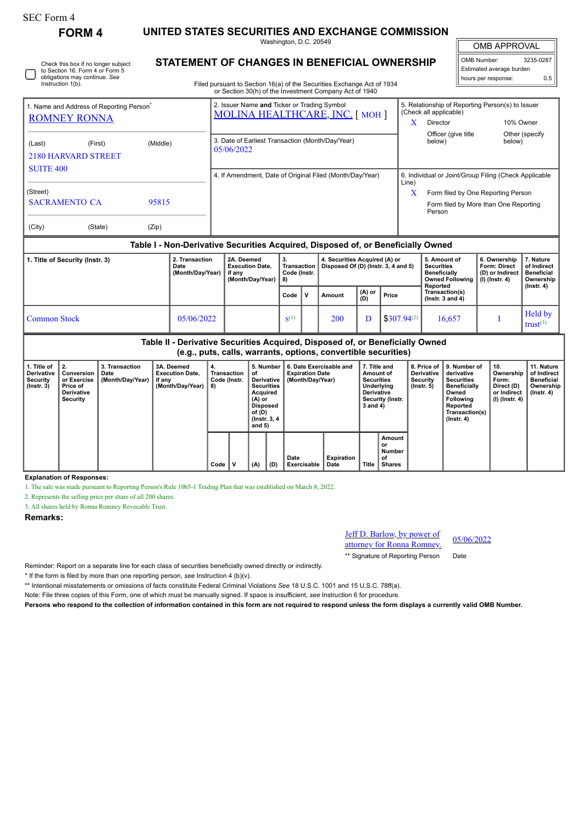## SEC Form 4

**FORM 4 UNITED STATES SECURITIES AND EXCHANGE COMMISSION**

Washington, D.C. 20549

OMB APPROVAL OMB Number: 3235-0287

Estimated average burden hours per response: 0.5

| STATEMENT OF CHANGES IN BENEFICIAL OWNERSHIP                               |
|----------------------------------------------------------------------------|
| $Eilod$ purquant to Cootian $16(a)$ of the Coourities Evenings Act of 1024 |

Filed pursuant to Section 16(a) of the Securities Exchange Act of 1934 or Section 30(h) of the Investment Company Act of 1940

|                                                                                 |         |       | or Section 30(h) of the Investment Company Act of 1940                         |                                                                            |  |  |  |  |  |
|---------------------------------------------------------------------------------|---------|-------|--------------------------------------------------------------------------------|----------------------------------------------------------------------------|--|--|--|--|--|
| 1. Name and Address of Reporting Person <sup>®</sup>                            |         |       | 2. Issuer Name and Ticker or Trading Symbol<br>MOLINA HEALTHCARE, INC. [ MOH ] | 5. Relationship of Reporting Person(s) to Issuer<br>(Check all applicable) |  |  |  |  |  |
| <b>ROMNEY RONNA</b>                                                             |         |       |                                                                                | 10% Owner<br>Director                                                      |  |  |  |  |  |
| (Middle)<br>(Last)<br>(First)<br><b>2180 HARVARD STREET</b><br><b>SUITE 400</b> |         |       | 3. Date of Earliest Transaction (Month/Day/Year)<br>05/06/2022                 | Officer (give title<br>Other (specify)<br>below)<br>below)                 |  |  |  |  |  |
|                                                                                 |         |       | 4. If Amendment, Date of Original Filed (Month/Day/Year)                       | 6. Individual or Joint/Group Filing (Check Applicable<br>Line)             |  |  |  |  |  |
| (Street)                                                                        |         |       |                                                                                | X<br>Form filed by One Reporting Person                                    |  |  |  |  |  |
| <b>SACRAMENTO CA</b>                                                            |         | 95815 |                                                                                | Form filed by More than One Reporting<br>Person                            |  |  |  |  |  |
| (City)                                                                          | (State) | (Zip) |                                                                                |                                                                            |  |  |  |  |  |

## **Table I - Non-Derivative Securities Acquired, Disposed of, or Beneficially Owned**

| 1. Title of Security (Instr. 3) | 2. Transaction<br>Date<br>(Month/Day/Year) | 2A. Deemed<br><b>Execution Date.</b><br>if anv<br>(Month/Day/Year) | 3.<br><b>Transaction I</b><br>Code (Instr.<br>l 8) |    | 4. Securities Acquired (A) or<br>Disposed Of (D) (lnstr. 3, 4 and 5) |               |                  | 5. Amount of<br><b>Securities</b><br><b>Beneficially</b><br><b>Owned Following</b><br>Reported | 6. Ownership<br>Form: Direct<br>(D) or Indirect<br>(I) (Instr. 4) | . Nature<br>of Indirect<br><b>Beneficial</b><br>Ownership |
|---------------------------------|--------------------------------------------|--------------------------------------------------------------------|----------------------------------------------------|----|----------------------------------------------------------------------|---------------|------------------|------------------------------------------------------------------------------------------------|-------------------------------------------------------------------|-----------------------------------------------------------|
|                                 |                                            |                                                                    | Code                                               | Ιv | Amount                                                               | (A) or<br>(D) | Price            | Transaction(s)<br>( $lnstr. 3$ and $4$ )                                                       |                                                                   | $($ lnstr $, 4)$                                          |
| Common Stock                    | 05/06/2022                                 |                                                                    | $S^{(1)}$                                          |    | 200                                                                  | D             | $$307.94^{(2)}$$ | 16.657                                                                                         |                                                                   | Held by<br>trust $(3)$                                    |

**Table II - Derivative Securities Acquired, Disposed of, or Beneficially Owned (e.g., puts, calls, warrants, options, convertible securities)**

| . Title of<br>Derivative<br>Securitv<br>(Instr. 3) | $^{\circ}$ 2.<br>Conversion<br>or Exercise<br>Price of<br><b>Derivative</b><br>Security | 3. Transaction<br>Date<br>(Month/Day/Year) | 3A. Deemed<br><b>Execution Date,</b><br>, if any<br>(Month/Day/Year)   8) | 4.<br>Transaction<br>Code (Instr. |  | 5. Number<br>οf<br><b>Derivative</b><br><b>Securities</b><br>Acquired<br>(A) or<br><b>Disposed</b><br>of (D)<br>(Instr. 3, 4)<br>and $5)$ |     | 6. Date Exercisable and<br><b>Expiration Date</b><br>(Month/Day/Year) |                    | 7. Title and<br>Amount of<br><b>Securities</b><br>Underlying<br><b>Derivative</b><br><b>Security (Instr.</b><br>$3$ and $4)$ |                                               | 8. Price of<br><b>Derivative</b><br>Security<br>$($ lnstr. 5 $)$ | 9. Number of<br>derivative<br><b>Securities</b><br><b>Beneficially</b><br>Owned<br>Following<br>Reported<br>Transaction(s)<br>$($ Instr. 4 $)$ | 10.<br>Ownership<br>Form:<br>Direct (D)<br>or Indirect<br>(I) (Instr. 4) | 11. Nature<br>of Indirect<br><b>Beneficial</b><br>Ownership<br>$($ lnstr. 4 $)$ |
|----------------------------------------------------|-----------------------------------------------------------------------------------------|--------------------------------------------|---------------------------------------------------------------------------|-----------------------------------|--|-------------------------------------------------------------------------------------------------------------------------------------------|-----|-----------------------------------------------------------------------|--------------------|------------------------------------------------------------------------------------------------------------------------------|-----------------------------------------------|------------------------------------------------------------------|------------------------------------------------------------------------------------------------------------------------------------------------|--------------------------------------------------------------------------|---------------------------------------------------------------------------------|
|                                                    |                                                                                         |                                            |                                                                           | $Code$   V                        |  | (A)                                                                                                                                       | (D) | Date<br>Exercisable                                                   | Expiration<br>Date | Title                                                                                                                        | Amount<br>or<br>Number<br>of<br><b>Shares</b> |                                                                  |                                                                                                                                                |                                                                          |                                                                                 |

**Explanation of Responses:**

1. The sale was made pursuant to Reporting Person's Rule 10b5-1 Trading Plan that was established on March 8, 2022.

2. Represents the selling price per share of all 200 shares.

3. All shares held by Ronna Romney Revocable Trust.

**Remarks:**

Jeff D. Barlow, by power of attorney for Ronna Romney.

05/06/2022

\*\* Signature of Reporting Person Date

Reminder: Report on a separate line for each class of securities beneficially owned directly or indirectly.

\* If the form is filed by more than one reporting person, *see* Instruction 4 (b)(v).

\*\* Intentional misstatements or omissions of facts constitute Federal Criminal Violations *See* 18 U.S.C. 1001 and 15 U.S.C. 78ff(a).

Note: File three copies of this Form, one of which must be manually signed. If space is insufficient, *see* Instruction 6 for procedure.

**Persons who respond to the collection of information contained in this form are not required to respond unless the form displays a currently valid OMB Number.**

Check this box if no longer subject to Section 16. Form 4 or Form 5 obligations may continue. *See* Instruction 1(b).